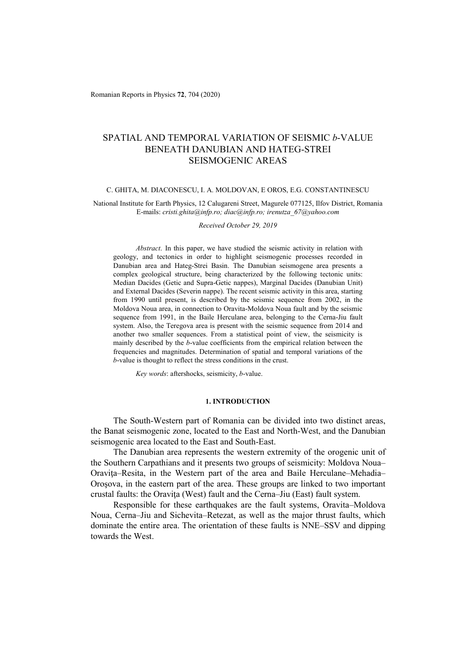Romanian Reports in Physics **72**, 704 (2020)

# SPATIAL AND TEMPORAL VARIATION OF SEISMIC *b*-VALUE BENEATH DANUBIAN AND HATEG-STREI SEISMOGENIC AREAS

#### C. GHITA, M. DIACONESCU, I. A. MOLDOVAN, E OROS, E.G. CONSTANTINESCU

National Institute for Earth Physics, 12 Calugareni Street, Magurele 077125, Ilfov District, Romania E-mails: *cristi.ghita@infp.ro; diac@infp.ro; irenutza\_67@yahoo.com* 

*Received October 29, 2019* 

*Abstract*. In this paper, we have studied the seismic activity in relation with geology, and tectonics in order to highlight seismogenic processes recorded in Danubian area and Hateg-Strei Basin. The Danubian seismogene area presents a complex geological structure, being characterized by the following tectonic units: Median Dacides (Getic and Supra-Getic nappes), Marginal Dacides (Danubian Unit) and External Dacides (Severin nappe). The recent seismic activity in this area, starting from 1990 until present, is described by the seismic sequence from 2002, in the Moldova Noua area, in connection to Oravita-Moldova Noua fault and by the seismic sequence from 1991, in the Baile Herculane area, belonging to the Cerna-Jiu fault system. Also, the Teregova area is present with the seismic sequence from 2014 and another two smaller sequences. From a statistical point of view, the seismicity is mainly described by the *b*-value coefficients from the empirical relation between the frequencies and magnitudes. Determination of spatial and temporal variations of the *b*-value is thought to reflect the stress conditions in the crust.

*Key words*: aftershocks, seismicity, *b*-value.

#### **1. INTRODUCTION**

The South-Western part of Romania can be divided into two distinct areas, the Banat seismogenic zone, located to the East and North-West, and the Danubian seismogenic area located to the East and South-East.

The Danubian area represents the western extremity of the orogenic unit of the Southern Carpathians and it presents two groups of seismicity: Moldova Noua– Oraviţa–Resita, in the Western part of the area and Baile Herculane–Mehadia– Oroşova, in the eastern part of the area. These groups are linked to two important crustal faults: the Oraviţa (West) fault and the Cerna–Jiu (East) fault system.

Responsible for these earthquakes are the fault systems, Oravita–Moldova Noua, Cerna–Jiu and Sichevita–Retezat, as well as the major thrust faults, which dominate the entire area. The orientation of these faults is NNE–SSV and dipping towards the West.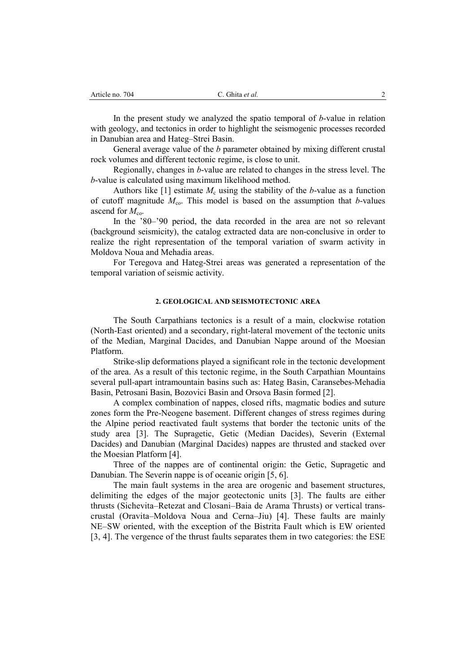In the present study we analyzed the spatio temporal of *b*-value in relation with geology, and tectonics in order to highlight the seismogenic processes recorded in Danubian area and Hateg–Strei Basin.

General average value of the *b* parameter obtained by mixing different crustal rock volumes and different tectonic regime, is close to unit.

Regionally, changes in *b*-value are related to changes in the stress level. The *b*-value is calculated using maximum likelihood method.

Authors like  $[1]$  estimate  $M_c$  using the stability of the *b*-value as a function of cutoff magnitude  $M_{\text{co}}$ . This model is based on the assumption that *b*-values ascend for  $M_{\text{co}}$ .

In the '80–'90 period, the data recorded in the area are not so relevant (background seismicity), the catalog extracted data are non-conclusive in order to realize the right representation of the temporal variation of swarm activity in Moldova Noua and Mehadia areas.

For Teregova and Hateg-Strei areas was generated a representation of the temporal variation of seismic activity.

## **2. GEOLOGICAL AND SEISMOTECTONIC AREA**

The South Carpathians tectonics is a result of a main, clockwise rotation (North-East oriented) and a secondary, right-lateral movement of the tectonic units of the Median, Marginal Dacides, and Danubian Nappe around of the Moesian Platform.

Strike-slip deformations played a significant role in the tectonic development of the area. As a result of this tectonic regime, in the South Carpathian Mountains several pull-apart intramountain basins such as: Hateg Basin, Caransebes-Mehadia Basin, Petrosani Basin, Bozovici Basin and Orsova Basin formed [2].

A complex combination of nappes, closed rifts, magmatic bodies and suture zones form the Pre-Neogene basement. Different changes of stress regimes during the Alpine period reactivated fault systems that border the tectonic units of the study area [3]. The Supragetic, Getic (Median Dacides), Severin (External Dacides) and Danubian (Marginal Dacides) nappes are thrusted and stacked over the Moesian Platform [4].

Three of the nappes are of continental origin: the Getic, Supragetic and Danubian. The Severin nappe is of oceanic origin [5, 6].

The main fault systems in the area are orogenic and basement structures, delimiting the edges of the major geotectonic units [3]. The faults are either thrusts (Sichevita–Retezat and Closani–Baia de Arama Thrusts) or vertical transcrustal (Oravita–Moldova Noua and Cerna–Jiu) [4]. These faults are mainly NE–SW oriented, with the exception of the Bistrita Fault which is EW oriented [3, 4]. The vergence of the thrust faults separates them in two categories: the ESE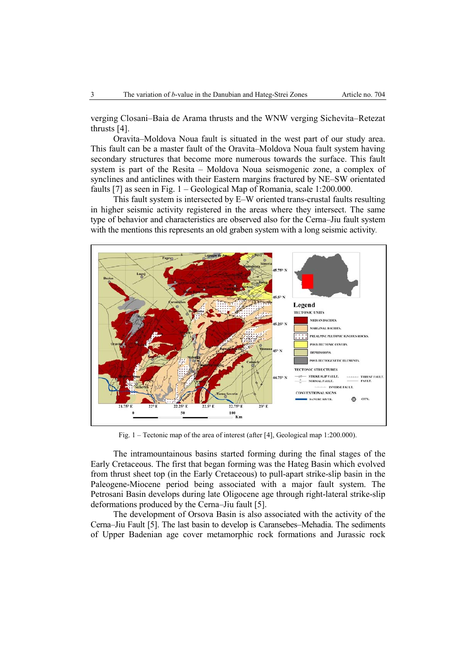verging Closani–Baia de Arama thrusts and the WNW verging Sichevita–Retezat thrusts [4].

Oravita–Moldova Noua fault is situated in the west part of our study area. This fault can be a master fault of the Oravita–Moldova Noua fault system having secondary structures that become more numerous towards the surface. This fault system is part of the Resita – Moldova Noua seismogenic zone, a complex of synclines and anticlines with their Eastern margins fractured by NE–SW orientated faults [7] as seen in Fig. 1 – Geological Map of Romania, scale 1:200.000.

This fault system is intersected by E–W oriented trans-crustal faults resulting in higher seismic activity registered in the areas where they intersect. The same type of behavior and characteristics are observed also for the Cerna–Jiu fault system with the mentions this represents an old graben system with a long seismic activity.



Fig. 1 – Tectonic map of the area of interest (after [4], Geological map 1:200.000).

The intramountainous basins started forming during the final stages of the Early Cretaceous. The first that began forming was the Hateg Basin which evolved from thrust sheet top (in the Early Cretaceous) to pull-apart strike-slip basin in the Paleogene-Miocene period being associated with a major fault system. The Petrosani Basin develops during late Oligocene age through right-lateral strike-slip deformations produced by the Cerna–Jiu fault [5].

The development of Orsova Basin is also associated with the activity of the Cerna–Jiu Fault [5]. The last basin to develop is Caransebes–Mehadia. The sediments of Upper Badenian age cover metamorphic rock formations and Jurassic rock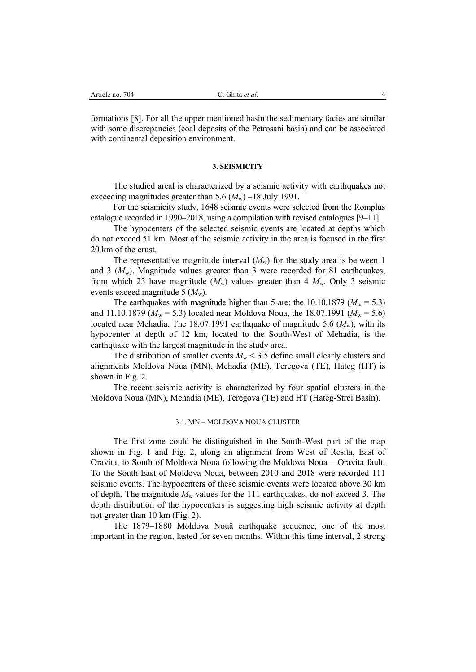formations [8]. For all the upper mentioned basin the sedimentary facies are similar with some discrepancies (coal deposits of the Petrosani basin) and can be associated with continental deposition environment.

#### **3. SEISMICITY**

The studied areal is characterized by a seismic activity with earthquakes not exceeding magnitudes greater than  $5.6$   $(M_w)$  –18 July 1991.

For the seismicity study, 1648 seismic events were selected from the Romplus catalogue recorded in 1990–2018, using a compilation with revised catalogues [9–11].

The hypocenters of the selected seismic events are located at depths which do not exceed 51 km. Most of the seismic activity in the area is focused in the first 20 km of the crust.

The representative magnitude interval  $(M_w)$  for the study area is between 1 and 3  $(M<sub>w</sub>)$ . Magnitude values greater than 3 were recorded for 81 earthquakes, from which 23 have magnitude  $(M_w)$  values greater than 4  $M_w$ . Only 3 seismic events exceed magnitude 5  $(M_{\rm w})$ .

The earthquakes with magnitude higher than 5 are: the 10.10.1879 ( $M_w = 5.3$ ) and 11.10.1879 ( $M_w = 5.3$ ) located near Moldova Noua, the 18.07.1991 ( $M_w = 5.6$ ) located near Mehadia. The 18.07.1991 earthquake of magnitude 5.6  $(M_{\rm w})$ , with its hypocenter at depth of 12 km, located to the South-West of Mehadia, is the earthquake with the largest magnitude in the study area.

The distribution of smaller events  $M_w < 3.5$  define small clearly clusters and alignments Moldova Noua (MN), Mehadia (ME), Teregova (TE), Hateg (HT) is shown in Fig. 2.

The recent seismic activity is characterized by four spatial clusters in the Moldova Noua (MN), Mehadia (ME), Teregova (TE) and HT (Hateg-Strei Basin).

#### 3.1. MN – MOLDOVA NOUA CLUSTER

The first zone could be distinguished in the South-West part of the map shown in Fig. 1 and Fig. 2, along an alignment from West of Resita, East of Oravita, to South of Moldova Noua following the Moldova Noua – Oravita fault. To the South-East of Moldova Noua, between 2010 and 2018 were recorded 111 seismic events. The hypocenters of these seismic events were located above 30 km of depth. The magnitude  $M_w$  values for the 111 earthquakes, do not exceed 3. The depth distribution of the hypocenters is suggesting high seismic activity at depth not greater than 10 km (Fig. 2).

The 1879–1880 Moldova Nouă earthquake sequence, one of the most important in the region, lasted for seven months. Within this time interval, 2 strong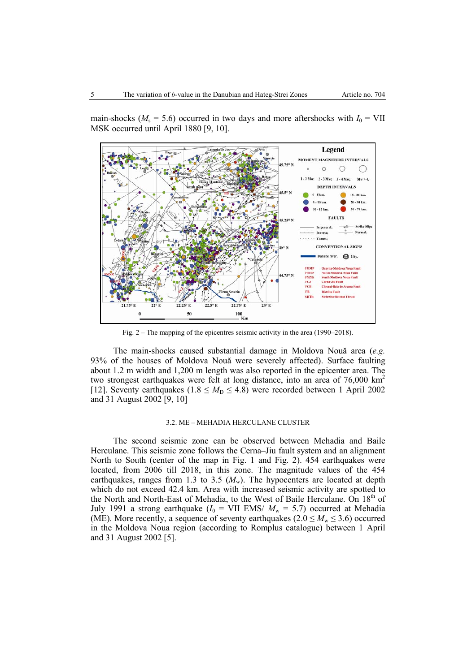main-shocks ( $M_s = 5.6$ ) occurred in two days and more aftershocks with  $I_0 = VII$ MSK occurred until April 1880 [9, 10].



Fig. 2 – The mapping of the epicentres seismic activity in the area (1990–2018).

The main-shocks caused substantial damage in Moldova Nouă area (*e.g.*  93% of the houses of Moldova Nouă were severely affected). Surface faulting about 1.2 m width and 1,200 m length was also reported in the epicenter area. The two strongest earthquakes were felt at long distance, into an area of  $76,000 \text{ km}^2$ [12]. Seventy earthquakes ( $1.8 \leq M<sub>D</sub> \leq 4.8$ ) were recorded between 1 April 2002 and 31 August 2002 [9, 10]

#### 3.2. ME – MEHADIA HERCULANE CLUSTER

The second seismic zone can be observed between Mehadia and Baile Herculane. This seismic zone follows the Cerna–Jiu fault system and an alignment North to South (center of the map in Fig. 1 and Fig. 2). 454 earthquakes were located, from 2006 till 2018, in this zone. The magnitude values of the 454 earthquakes, ranges from 1.3 to 3.5  $(M_w)$ . The hypocenters are located at depth which do not exceed 42.4 km. Area with increased seismic activity are spotted to the North and North-East of Mehadia, to the West of Baile Herculane. On 18<sup>th</sup> of July 1991 a strong earthquake  $(I_0 = VII$  EMS/  $M_w = 5.7$ ) occurred at Mehadia (ME). More recently, a sequence of seventy earthquakes ( $2.0 \leq M_{\rm w} \leq 3.6$ ) occurred in the Moldova Noua region (according to Romplus catalogue) between 1 April and 31 August 2002 [5].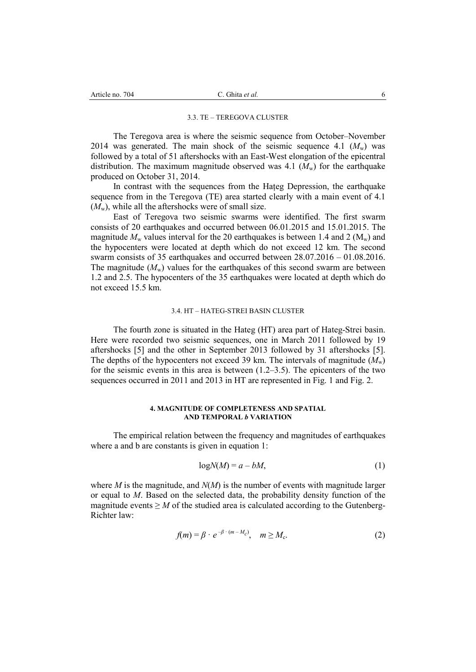## 3.3. TE – TEREGOVA CLUSTER

The Teregova area is where the seismic sequence from October–November 2014 was generated. The main shock of the seismic sequence 4.1  $(M_w)$  was followed by a total of 51 aftershocks with an East-West elongation of the epicentral distribution. The maximum magnitude observed was  $4.1 \ (M_{\rm w})$  for the earthquake produced on October 31, 2014.

In contrast with the sequences from the Hațeg Depression, the earthquake sequence from in the Teregova (TE) area started clearly with a main event of 4.1  $(M_{\rm w})$ , while all the aftershocks were of small size.

East of Teregova two seismic swarms were identified. The first swarm consists of 20 earthquakes and occurred between 06.01.2015 and 15.01.2015. The magnitude  $M_w$  values interval for the 20 earthquakes is between 1.4 and 2 ( $M_w$ ) and the hypocenters were located at depth which do not exceed 12 km. The second swarm consists of 35 earthquakes and occurred between 28.07.2016 – 01.08.2016. The magnitude  $(M_w)$  values for the earthquakes of this second swarm are between 1.2 and 2.5. The hypocenters of the 35 earthquakes were located at depth which do not exceed 15.5 km.

#### 3.4. HT – HATEG-STREI BASIN CLUSTER

The fourth zone is situated in the Hateg (HT) area part of Hateg-Strei basin. Here were recorded two seismic sequences, one in March 2011 followed by 19 aftershocks [5] and the other in September 2013 followed by 31 aftershocks [5]. The depths of the hypocenters not exceed 39 km. The intervals of magnitude  $(M_{\rm w})$ for the seismic events in this area is between (1.2–3.5). The epicenters of the two sequences occurred in 2011 and 2013 in HT are represented in Fig. 1 and Fig. 2.

### **4. MAGNITUDE OF COMPLETENESS AND SPATIAL AND TEMPORAL** *b* **VARIATION**

The empirical relation between the frequency and magnitudes of earthquakes where a and b are constants is given in equation 1:

$$
logN(M) = a - bM,
$$
\n(1)

where *M* is the magnitude, and *N*(*M*) is the number of events with magnitude larger or equal to *M*. Based on the selected data, the probability density function of the magnitude events  $\geq M$  of the studied area is calculated according to the Gutenberg-Richter law:

$$
f(m) = \beta \cdot e^{-\beta \cdot (m - M_c)}, \quad m \ge M_c.
$$
 (2)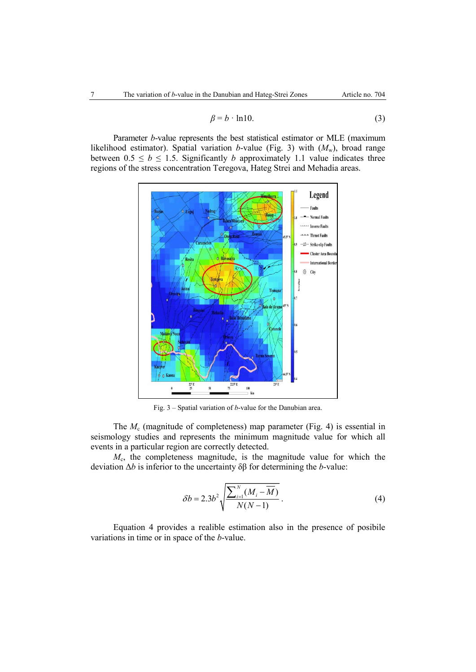$$
\beta = b \cdot \ln 10. \tag{3}
$$

Parameter *b*-value represents the best statistical estimator or MLE (maximum likelihood estimator). Spatial variation *b*-value (Fig. 3) with  $(M_w)$ , broad range between  $0.5 \le b \le 1.5$ . Significantly *b* approximately 1.1 value indicates three regions of the stress concentration Teregova, Hateg Strei and Mehadia areas.



Fig. 3 – Spatial variation of *b*-value for the Danubian area.

The *M<sub>c</sub>* (magnitude of completeness) map parameter (Fig. 4) is essential in seismology studies and represents the minimum magnitude value for which all events in a particular region are correctly detected.

*M*c, the completeness magnitude, is the magnitude value for which the deviation Δ*b* is inferior to the uncertainty δβ for determining the *b*-value:

$$
\delta b = 2.3b^2 \sqrt{\frac{\sum_{i=1}^{N} (M_i - \overline{M})}{N(N-1)}}.
$$
\n(4)

Equation 4 provides a realible estimation also in the presence of posibile variations in time or in space of the *b*-value.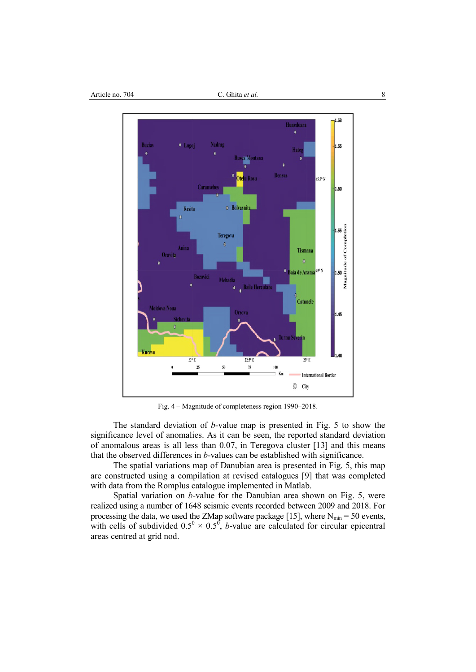

Fig. 4 – Magnitude of completeness region 1990–2018.

The standard deviation of *b*-value map is presented in Fig. 5 to show the significance level of anomalies. As it can be seen, the reported standard deviation of anomalous areas is all less than 0.07, in Teregova cluster [13] and this means that the observed differences in *b*-values can be established with significance.

The spatial variations map of Danubian area is presented in Fig. 5, this map are constructed using a compilation at revised catalogues [9] that was completed with data from the Romplus catalogue implemented in Matlab.

Spatial variation on *b*-value for the Danubian area shown on Fig. 5, were realized using a number of 1648 seismic events recorded between 2009 and 2018. For processing the data, we used the ZMap software package [15], where  $N_{min} = 50$  events, with cells of subdivided  $0.5^0 \times 0.5^0$ , *b*-value are calculated for circular epicentral areas centred at grid nod.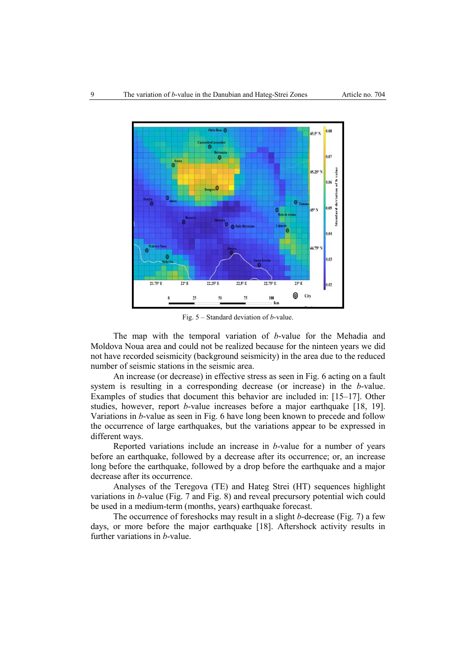

Fig. 5 – Standard deviation of *b*-value.

The map with the temporal variation of *b*-value for the Mehadia and Moldova Noua area and could not be realized because for the ninteen years we did not have recorded seismicity (background seismicity) in the area due to the reduced number of seismic stations in the seismic area.

An increase (or decrease) in effective stress as seen in Fig. 6 acting on a fault system is resulting in a corresponding decrease (or increase) in the *b*-value. Examples of studies that document this behavior are included in: [15–17]. Other studies, however, report *b*-value increases before a major earthquake [18, 19]. Variations in *b*-value as seen in Fig. 6 have long been known to precede and follow the occurrence of large earthquakes, but the variations appear to be expressed in different ways.

Reported variations include an increase in *b*-value for a number of years before an earthquake, followed by a decrease after its occurrence; or, an increase long before the earthquake, followed by a drop before the earthquake and a major decrease after its occurrence.

Analyses of the Teregova (TE) and Hateg Strei (HT) sequences highlight variations in *b*-value (Fig. 7 and Fig. 8) and reveal precursory potential wich could be used in a medium-term (months, years) earthquake forecast.

The occurrence of foreshocks may result in a slight *b*-decrease (Fig. 7) a few days, or more before the major earthquake [18]. Aftershock activity results in further variations in *b*-value.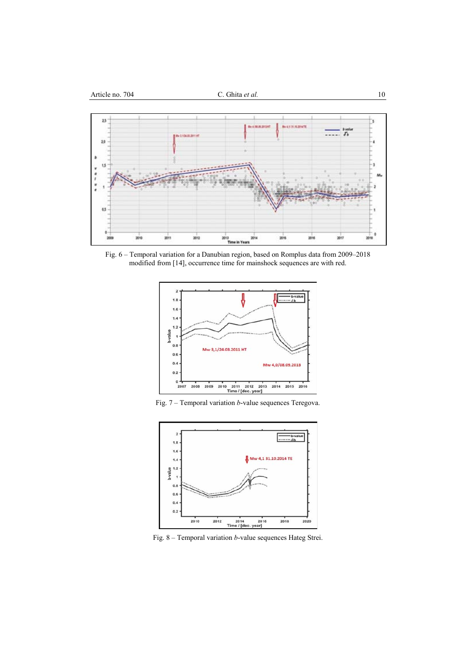

Fig. 6 – Temporal variation for a Danubian region, based on Romplus data from 2009–2018 modified from [14], occurrence time for mainshock sequences are with red.



Fig. 7 – Temporal variation *b*-value sequences Teregova.



Fig. 8 – Temporal variation *b*-value sequences Hateg Strei.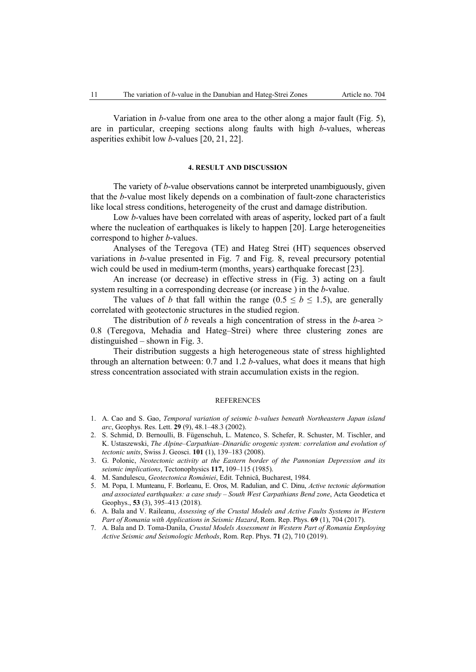Variation in *b*-value from one area to the other along a major fault (Fig. 5), are in particular, creeping sections along faults with high *b*-values, whereas asperities exhibit low *b*-values [20, 21, 22].

#### **4. RESULT AND DISCUSSION**

The variety of *b*-value observations cannot be interpreted unambiguously, given that the *b*-value most likely depends on a combination of fault-zone characteristics like local stress conditions, heterogeneity of the crust and damage distribution.

Low *b*-values have been correlated with areas of asperity, locked part of a fault where the nucleation of earthquakes is likely to happen [20]. Large heterogeneities correspond to higher *b*-values.

Analyses of the Teregova (TE) and Hateg Strei (HT) sequences observed variations in *b*-value presented in Fig. 7 and Fig. 8, reveal precursory potential wich could be used in medium-term (months, years) earthquake forecast [23].

An increase (or decrease) in effective stress in (Fig. 3) acting on a fault system resulting in a corresponding decrease (or increase ) in the *b*-value.

The values of *b* that fall within the range ( $0.5 \le b \le 1.5$ ), are generally correlated with geotectonic structures in the studied region.

The distribution of *b* reveals a high concentration of stress in the *b*-area > 0.8 (Teregova, Mehadia and Hateg–Strei) where three clustering zones are distinguished – shown in Fig. 3.

Their distribution suggests a high heterogeneous state of stress highlighted through an alternation between: 0.7 and 1.2 *b*-values, what does it means that high stress concentration associated with strain accumulation exists in the region.

#### **REFERENCES**

- 1. A. Cao and S. Gao, *Temporal variation of seismic b-values beneath Northeastern Japan island arc*, Geophys. Res. Lett. **29** (9), 48.1–48.3 (2002).
- 2. S. Schmid, D. Bernoulli, B. Fügenschuh, L. Matenco, S. Schefer, R. Schuster, M. Tischler, and K. Ustaszewski, *The Alpine–Carpathian–Dinaridic orogenic system: correlation and evolution of tectonic units*, Swiss J. Geosci. **101** (1), 139–183 (2008).
- 3. G. Polonic, *Neotectonic activity at the Eastern border of the Pannonian Depression and its seismic implications*, Tectonophysics **117,** 109–115 (1985).
- 4. M. Sandulescu, *Geotectonica României*, Edit. Tehnică, Bucharest, 1984.
- 5. M. Popa, I. Munteanu, F. Borleanu, E. Oros, M. Radulian, and C. Dinu, *Active tectonic deformation and associated earthquakes: a case study – South West Carpathians Bend zone*, Acta Geodetica et Geophys., **53** (3), 395–413 (2018).
- 6. A. Bala and V. Raileanu, *Assessing of the Crustal Models and Active Faults Systems in Western Part of Romania with Applications in Seismic Hazard*, Rom. Rep. Phys. **69** (1), 704 (2017).
- 7. A. Bala and D. Toma-Danila, *Crustal Models Assessment in Western Part of Romania Employing Active Seismic and Seismologic Methods*, Rom. Rep. Phys. **71** (2), 710 (2019).